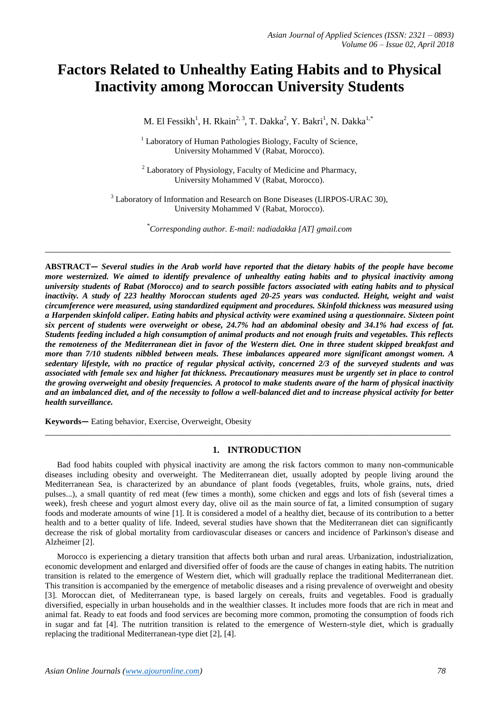# **Factors Related to Unhealthy Eating Habits and to Physical Inactivity among Moroccan University Students**

M. El Fessikh<sup>1</sup>, H. Rkain<sup>2, 3</sup>, T. Dakka<sup>2</sup>, Y. Bakri<sup>1</sup>, N. Dakka<sup>1,\*</sup>

<sup>1</sup> Laboratory of Human Pathologies Biology, Faculty of Science, University Mohammed V (Rabat, Morocco).

 $2$  Laboratory of Physiology, Faculty of Medicine and Pharmacy, University Mohammed V (Rabat, Morocco).

<sup>3</sup> Laboratory of Information and Research on Bone Diseases (LIRPOS-URAC 30), University Mohammed V (Rabat, Morocco).

\* *Corresponding author. E-mail: nadiadakka [AT] gmail.com*

**\_\_\_\_\_\_\_\_\_\_\_\_\_\_\_\_\_\_\_\_\_\_\_\_\_\_\_\_\_\_\_\_\_\_\_\_\_\_\_\_\_\_\_\_\_\_\_\_\_\_\_\_\_\_\_\_\_\_\_\_\_\_\_\_\_\_\_\_\_\_\_\_\_\_\_\_\_\_\_\_\_\_\_\_\_\_\_\_**

**ABSTRACT—** *Several studies in the Arab world have reported that the dietary habits of the people have become more westernized. We aimed to identify prevalence of unhealthy eating habits and to physical inactivity among university students of Rabat (Morocco) and to search possible factors associated with eating habits and to physical*  inactivity. A study of 223 healthy Moroccan students aged 20-25 years was conducted. Height, weight and waist *circumference were measured, using standardized equipment and procedures. Skinfold thickness was measured using a Harpenden skinfold caliper. Eating habits and physical activity were examined using a questionnaire. Sixteen point six percent of students were overweight or obese, 24.7% had an abdominal obesity and 34.1% had excess of fat. Students feeding included a high consumption of animal products and not enough fruits and vegetables. This reflects the remoteness of the Mediterranean diet in favor of the Western diet. One in three student skipped breakfast and more than 7/10 students nibbled between meals. These imbalances appeared more significant amongst women. A sedentary lifestyle, with no practice of regular physical activity, concerned 2/3 of the surveyed students and was associated with female sex and higher fat thickness. Precautionary measures must be urgently set in place to control the growing overweight and obesity frequencies. A protocol to make students aware of the harm of physical inactivity and an imbalanced diet, and of the necessity to follow a well-balanced diet and to increase physical activity for better health surveillance.*

**Keywords—** Eating behavior, Exercise, Overweight, Obesity

## **1. INTRODUCTION**

**\_\_\_\_\_\_\_\_\_\_\_\_\_\_\_\_\_\_\_\_\_\_\_\_\_\_\_\_\_\_\_\_\_\_\_\_\_\_\_\_\_\_\_\_\_\_\_\_\_\_\_\_\_\_\_\_\_\_\_\_\_\_\_\_\_\_\_\_\_\_\_\_\_\_\_\_\_\_\_\_\_\_\_\_\_\_\_\_**

Bad food habits coupled with physical inactivity are among the risk factors common to many non-communicable diseases including obesity and overweight. The Mediterranean diet, usually adopted by people living around the Mediterranean Sea, is characterized by an abundance of plant foods (vegetables, fruits, whole grains, nuts, dried pulses...), a small quantity of red meat (few times a month), some chicken and eggs and lots of fish (several times a week), fresh cheese and yogurt almost every day, olive oil as the main source of fat, a limited consumption of sugary foods and moderate amounts of wine [1]. It is considered a model of a healthy diet, because of its contribution to a better health and to a better quality of life. Indeed, several studies have shown that the Mediterranean diet can significantly decrease the risk of global mortality from cardiovascular diseases or cancers and incidence of Parkinson's disease and Alzheimer [2].

Morocco is experiencing a dietary transition that affects both urban and rural areas. Urbanization, industrialization, economic development and enlarged and diversified offer of foods are the cause of changes in eating habits. The nutrition transition is related to the emergence of Western diet, which will gradually replace the traditional Mediterranean diet. This transition is accompanied by the emergence of metabolic diseases and a rising prevalence of overweight and obesity [3]. Moroccan diet, of Mediterranean type, is based largely on cereals, fruits and vegetables. Food is gradually diversified, especially in urban households and in the wealthier classes. It includes more foods that are rich in meat and animal fat. Ready to eat foods and food services are becoming more common, promoting the consumption of foods rich in sugar and fat [4]. The nutrition transition is related to the emergence of Western-style diet, which is gradually replacing the traditional Mediterranean-type diet [2], [4].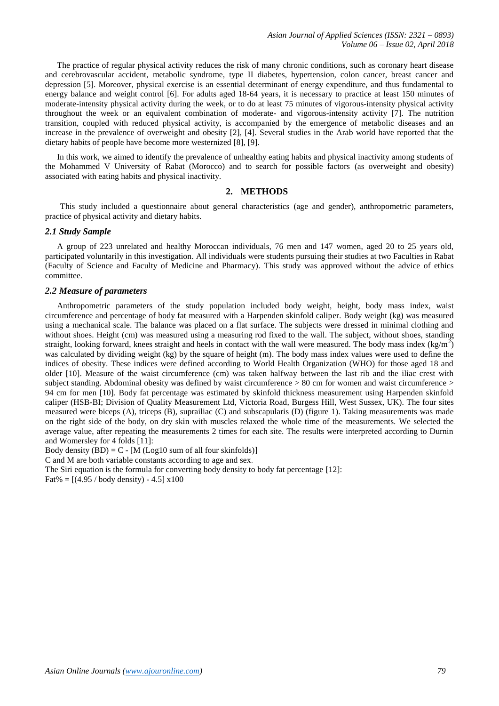*Asian Journal of Applied Sciences (ISSN: 2321 – 0893) Volume 06 – Issue 02, April 2018*

The practice of regular physical activity reduces the risk of many chronic conditions, such as coronary heart disease and cerebrovascular accident, metabolic syndrome, type II diabetes, hypertension, colon cancer, breast cancer and depression [5]. Moreover, physical exercise is an essential determinant of energy expenditure, and thus fundamental to energy balance and weight control [6]. For adults aged 18-64 years, it is necessary to practice at least 150 minutes of moderate-intensity physical activity during the week, or to do at least 75 minutes of vigorous-intensity physical activity throughout the week or an equivalent combination of moderate- and vigorous-intensity activity [7]. The nutrition transition, coupled with reduced physical activity, is accompanied by the emergence of metabolic diseases and an increase in the prevalence of overweight and obesity [2], [4]. Several studies in the Arab world have reported that the dietary habits of people have become more westernized [8], [9].

In this work, we aimed to identify the prevalence of unhealthy eating habits and physical inactivity among students of the Mohammed V University of Rabat (Morocco) and to search for possible factors (as overweight and obesity) associated with eating habits and physical inactivity.

# **2. METHODS**

This study included a questionnaire about general characteristics (age and gender), anthropometric parameters, practice of physical activity and dietary habits.

#### *2.1 Study Sample*

A group of 223 unrelated and healthy Moroccan individuals, 76 men and 147 women, aged 20 to 25 years old, participated voluntarily in this investigation. All individuals were students pursuing their studies at two Faculties in Rabat (Faculty of Science and Faculty of Medicine and Pharmacy). This study was approved without the advice of ethics committee.

#### *2.2 Measure of parameters*

Anthropometric parameters of the study population included body weight, height, body mass index, waist circumference and percentage of body fat measured with a Harpenden skinfold caliper. Body weight (kg) was measured using a mechanical scale. The balance was placed on a flat surface. The subjects were dressed in minimal clothing and without shoes. Height (cm) was measured using a measuring rod fixed to the wall. The subject, without shoes, standing straight, looking forward, knees straight and heels in contact with the wall were measured. The body mass index  $(kg/m^2)$ was calculated by dividing weight (kg) by the square of height (m). The body mass index values were used to define the indices of obesity. These indices were defined according to World Health Organization (WHO) for those aged 18 and older [10]. Measure of the waist circumference (cm) was taken halfway between the last rib and the iliac crest with subject standing. Abdominal obesity was defined by waist circumference  $> 80$  cm for women and waist circumference  $>$ 94 cm for men [10]. Body fat percentage was estimated by skinfold thickness measurement using Harpenden skinfold caliper (HSB-BI; Division of Quality Measurement Ltd, Victoria Road, Burgess Hill, West Sussex, UK). The four sites measured were biceps (A), triceps (B), suprailiac (C) and subscapularis (D) (figure 1). Taking measurements was made on the right side of the body, on dry skin with muscles relaxed the whole time of the measurements. We selected the average value, after repeating the measurements 2 times for each site. The results were interpreted according to Durnin and Womersley for 4 folds [11]:

Body density  $(BD) = C - [M (Log10 sum of all four skin folds)]$ 

C and M are both variable constants according to age and sex.

The Siri equation is the formula for converting body density to body fat percentage [12]: Fat% =  $[(4.95 / body density) - 4.5] x100$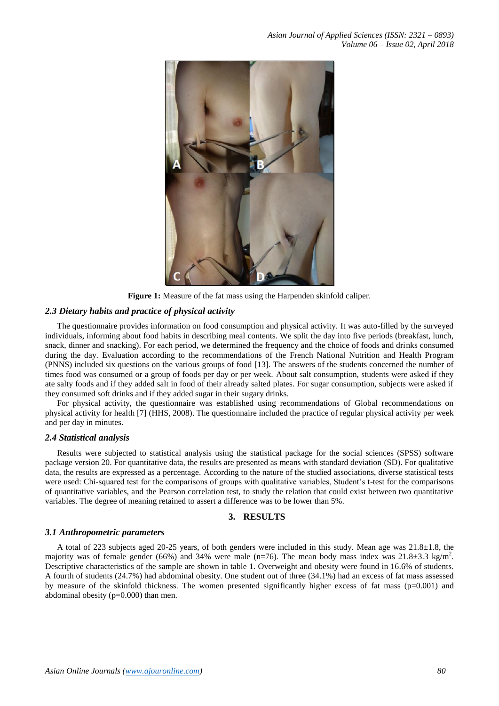

**Figure 1:** Measure of the fat mass using the Harpenden skinfold caliper.

#### *2.3 Dietary habits and practice of physical activity*

The questionnaire provides information on food consumption and physical activity. It was auto-filled by the surveyed individuals, informing about food habits in describing meal contents. We split the day into five periods (breakfast, lunch, snack, dinner and snacking). For each period, we determined the frequency and the choice of foods and drinks consumed during the day. Evaluation according to the recommendations of the French National Nutrition and Health Program (PNNS) included six questions on the various groups of food [13]. The answers of the students concerned the number of times food was consumed or a group of foods per day or per week. About salt consumption, students were asked if they ate salty foods and if they added salt in food of their already salted plates. For sugar consumption, subjects were asked if they consumed soft drinks and if they added sugar in their sugary drinks.

For physical activity, the questionnaire was established using recommendations of Global recommendations on physical activity for health [7] (HHS, 2008). The questionnaire included the practice of regular physical activity per week and per day in minutes.

#### *2.4 Statistical analysis*

Results were subjected to statistical analysis using the statistical package for the social sciences (SPSS) software package version 20. For quantitative data, the results are presented as means with standard deviation (SD). For qualitative data, the results are expressed as a percentage. According to the nature of the studied associations, diverse statistical tests were used: Chi-squared test for the comparisons of groups with qualitative variables, Student's t-test for the comparisons of quantitative variables, and the Pearson correlation test, to study the relation that could exist between two quantitative variables. The degree of meaning retained to assert a difference was to be lower than 5%.

# **3. RESULTS**

#### *3.1 Anthropometric parameters*

A total of 223 subjects aged 20-25 years, of both genders were included in this study. Mean age was 21.8±1.8, the majority was of female gender (66%) and 34% were male (n=76). The mean body mass index was  $21.8 \pm 3.3$  kg/m<sup>2</sup>. Descriptive characteristics of the sample are shown in table 1. Overweight and obesity were found in 16.6% of students. A fourth of students (24.7%) had abdominal obesity. One student out of three (34.1%) had an excess of fat mass assessed by measure of the skinfold thickness. The women presented significantly higher excess of fat mass ( $p=0.001$ ) and abdominal obesity  $(p=0.000)$  than men.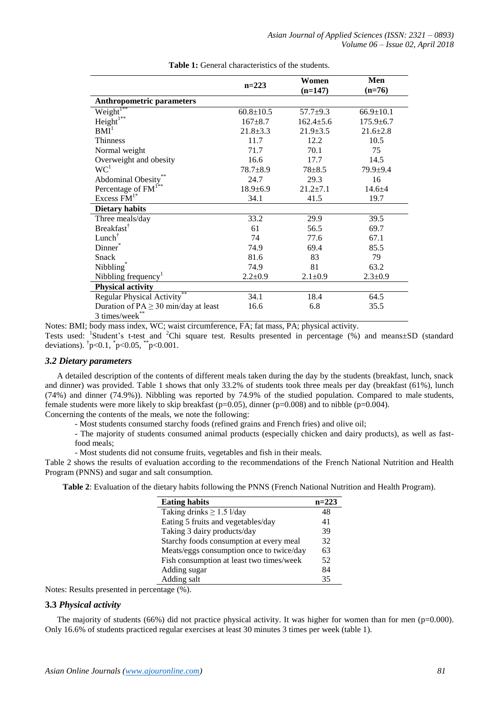|                                           | $n=223$         | Women           | Men             |  |
|-------------------------------------------|-----------------|-----------------|-----------------|--|
|                                           |                 | $(n=147)$       | $(n=76)$        |  |
| <b>Anthropometric parameters</b>          |                 |                 |                 |  |
| Weight <sup>1**</sup>                     | $60.8 \pm 10.5$ | $57.7 \pm 9.3$  | $66.9 \pm 10.1$ |  |
| $Height^{1**}$                            | $167 + 8.7$     | $162.4 \pm 5.6$ | $175.9 \pm 6.7$ |  |
| BMI <sup>1</sup>                          | $21.8 \pm 3.3$  | $21.9 \pm 3.5$  | $21.6 \pm 2.8$  |  |
| Thinness                                  | 11.7            | 12.2            | 10.5            |  |
| Normal weight                             | 71.7            | 70.1            | 75              |  |
| Overweight and obesity                    | 16.6            | 17.7            | 14.5            |  |
| WC <sup>1</sup>                           | $78.7 + 8.9$    | $78 + 8.5$      | $79.9 + 9.4$    |  |
| Abdominal Obesity**                       | 24.7            | 29.3            | 16              |  |
| Percentage of FM <sup>1**</sup>           | $18.9 \pm 6.9$  | $21.2 \pm 7.1$  | $14.6 + 4$      |  |
| Excess FM <sup>1*</sup>                   | 34.1            | 41.5            | 19.7            |  |
| <b>Dietary habits</b>                     |                 |                 |                 |  |
| Three meals/day                           | 33.2            | 29.9            | 39.5            |  |
| <b>Breakfast</b>                          | 61              | 56.5            | 69.7            |  |
| $Lunch^{\dagger}$                         | 74              | 77.6            | 67.1            |  |
| Dinner*                                   | 74.9            | 69.4            | 85.5            |  |
| Snack                                     | 81.6            | 83              | 79              |  |
| Nibbling <sup>®</sup>                     | 74.9            | 81              | 63.2            |  |
| Nibbling frequency <sup>1</sup>           | $2.2 \pm 0.9$   | $2.1 \pm 0.9$   | $2.3 \pm 0.9$   |  |
| <b>Physical activity</b>                  |                 |                 |                 |  |
| Regular Physical Activity                 | 34.1            | 18.4            | 64.5            |  |
| Duration of $PA \geq 30$ min/day at least | 16.6            | 6.8             | 35.5            |  |
| 3 times/week**                            |                 |                 |                 |  |

**Table 1:** General characteristics of the students.

Notes: BMI; body mass index, WC; waist circumference, FA; fat mass, PA; physical activity.

Tests used: <sup>1</sup>Student's t-test and <sup>2</sup>Chi square test. Results presented in percentage (%) and means±SD (standard deviations).  $\frac{1}{p}$  = 0.1,  $\frac{1}{p}$  = 0.05,  $\frac{1}{p}$  = 0.001.

## *3.2 Dietary parameters*

A detailed description of the contents of different meals taken during the day by the students (breakfast, lunch, snack and dinner) was provided. Table 1 shows that only 33.2% of students took three meals per day (breakfast (61%), lunch (74%) and dinner (74.9%)). Nibbling was reported by 74.9% of the studied population. Compared to male students, female students were more likely to skip breakfast ( $p=0.05$ ), dinner ( $p=0.008$ ) and to nibble ( $p=0.004$ ). Concerning the contents of the meals, we note the following:

- Most students consumed starchy foods (refined grains and French fries) and olive oil;

- The majority of students consumed animal products (especially chicken and dairy products), as well as fastfood meals;

- Most students did not consume fruits, vegetables and fish in their meals.

Table 2 shows the results of evaluation according to the recommendations of the French National Nutrition and Health Program (PNNS) and sugar and salt consumption.

**Table 2**: Evaluation of the dietary habits following the PNNS (French National Nutrition and Health Program).

| <b>Eating habits</b>                     | $n=223$ |
|------------------------------------------|---------|
| Taking drinks $\geq$ 1.5 l/day           | 48      |
| Eating 5 fruits and vegetables/day       | 41      |
| Taking 3 dairy products/day              | 39      |
| Starchy foods consumption at every meal  | 32      |
| Meats/eggs consumption once to twice/day | 63      |
| Fish consumption at least two times/week | 52      |
| Adding sugar                             | 84      |
| Adding salt                              | 35      |

Notes: Results presented in percentage (%).

# **3.3** *Physical activity*

The majority of students (66%) did not practice physical activity. It was higher for women than for men ( $p=0.000$ ). Only 16.6% of students practiced regular exercises at least 30 minutes 3 times per week (table 1).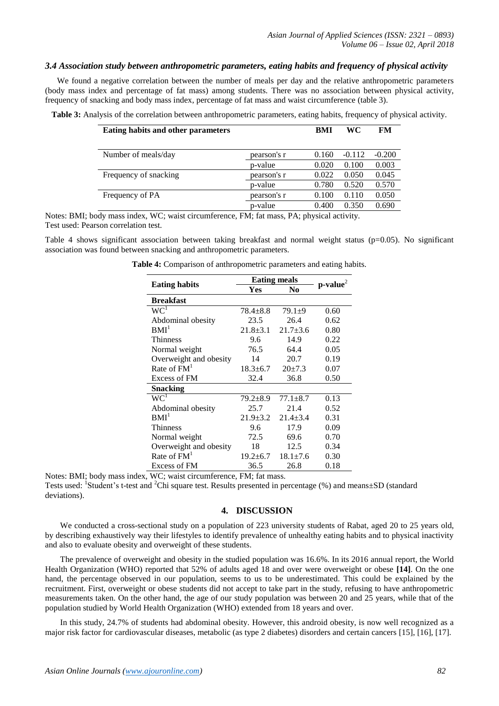# *3.4 Association study between anthropometric parameters, eating habits and frequency of physical activity*

We found a negative correlation between the number of meals per day and the relative anthropometric parameters (body mass index and percentage of fat mass) among students. There was no association between physical activity, frequency of snacking and body mass index, percentage of fat mass and waist circumference (table 3).

| <b>Eating habits and other parameters</b> |             | BMI   | WC       | FM       |
|-------------------------------------------|-------------|-------|----------|----------|
| Number of meals/day                       | pearson's r | 0.160 | $-0.112$ | $-0.200$ |
|                                           | p-value     | 0.020 | 0.100    | 0.003    |
| Frequency of snacking                     | pearson's r | 0.022 | 0.050    | 0.045    |
|                                           | p-value     | 0.780 | 0.520    | 0.570    |
| Frequency of PA                           | pearson's r | 0.100 | 0.110    | 0.050    |
|                                           | p-value     | 0.400 | 0.350    | 0.690    |

**Table 3:** Analysis of the correlation between anthropometric parameters, eating habits, frequency of physical activity.

Notes: BMI; body mass index, WC; waist circumference, FM; fat mass, PA; physical activity. Test used: Pearson correlation test.

Table 4 shows significant association between taking breakfast and normal weight status ( $p=0.05$ ). No significant association was found between snacking and anthropometric parameters.

| <b>Eating habits</b>   | <b>Eating meals</b> |                |            |
|------------------------|---------------------|----------------|------------|
|                        | Yes                 | N <sub>0</sub> | $p-value2$ |
| <b>Breakfast</b>       |                     |                |            |
| WC <sup>1</sup>        | $78.4 \pm 8.8$      | $79.1 + 9$     | 0.60       |
| Abdominal obesity      | 23.5                | 26.4           | 0.62       |
| BMI <sup>1</sup>       | $21.8 + 3.1$        | $21.7 + 3.6$   | 0.80       |
| <b>Thinness</b>        | 9.6                 | 14.9           | 0.22       |
| Normal weight          | 76.5                | 64.4           | 0.05       |
| Overweight and obesity | 14                  | 20.7           | 0.19       |
| Rate of $FM1$          | $18.3 \pm 6.7$      | $20+7.3$       | 0.07       |
| Excess of FM           | 32.4                | 36.8           | 0.50       |
| Snacking               |                     |                |            |
| $WC^{1}$               | $79.2 \pm 8.9$      | $77.1 + 8.7$   | 0.13       |
| Abdominal obesity      | 25.7                | 21.4           | 0.52       |
| $1$                    | $21.9 \pm 3.2$      | $21.4 + 3.4$   | 0.31       |
| <b>Thinness</b>        | 9.6                 | 17.9           | 0.09       |
| Normal weight          | 72.5                | 69.6           | 0.70       |
| Overweight and obesity | 18                  | 12.5           | 0.34       |
| Rate of $FM1$          | $19.2 \pm 6.7$      | $18.1 \pm 7.6$ | 0.30       |
| Excess of FM           | 36.5                | 26.8           | 0.18       |

Notes: BMI; body mass index, WC; waist circumference, FM; fat mass.

Tests used: <sup>1</sup>Student's t-test and <sup>2</sup>Chi square test. Results presented in percentage (%) and means±SD (standard deviations).

## **4. DISCUSSION**

We conducted a cross-sectional study on a population of 223 university students of Rabat, aged 20 to 25 years old, by describing exhaustively way their lifestyles to identify prevalence of unhealthy eating habits and to physical inactivity and also to evaluate obesity and overweight of these students.

The prevalence of overweight and obesity in the studied population was 16.6%. In its 2016 annual report, the World Health Organization (WHO) reported that 52% of adults aged 18 and over were overweight or obese **[14]**. On the one hand, the percentage observed in our population, seems to us to be underestimated. This could be explained by the recruitment. First, overweight or obese students did not accept to take part in the study, refusing to have anthropometric measurements taken. On the other hand, the age of our study population was between 20 and 25 years, while that of the population studied by World Health Organization (WHO) extended from 18 years and over.

In this study, 24.7% of students had abdominal obesity. However, this android obesity, is now well recognized as a major risk factor for cardiovascular diseases, metabolic (as type 2 diabetes) disorders and certain cancers [15], [16], [17].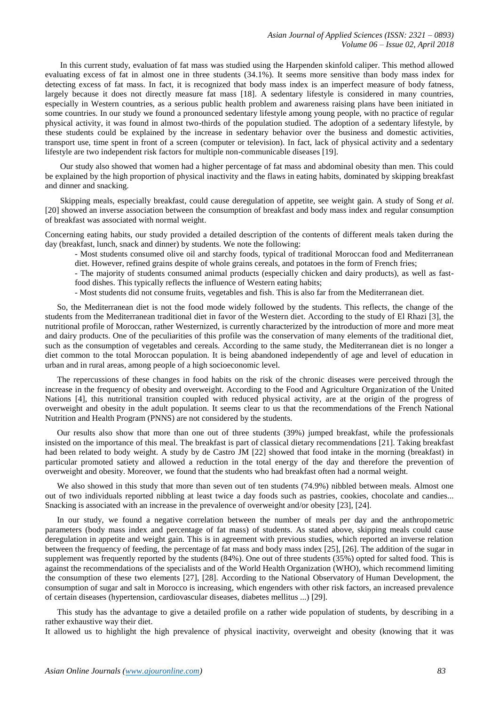In this current study, evaluation of fat mass was studied using the Harpenden skinfold caliper. This method allowed evaluating excess of fat in almost one in three students (34.1%). It seems more sensitive than body mass index for detecting excess of fat mass. In fact, it is recognized that body mass index is an imperfect measure of body fatness, largely because it does not directly measure fat mass [18]. A sedentary lifestyle is considered in many countries, especially in Western countries, as a serious public health problem and awareness raising plans have been initiated in some countries. In our study we found a pronounced sedentary lifestyle among young people, with no practice of regular physical activity, it was found in almost two-thirds of the population studied. The adoption of a sedentary lifestyle, by these students could be explained by the increase in sedentary behavior over the business and domestic activities, transport use, time spent in front of a screen (computer or television). In fact, lack of physical activity and a sedentary lifestyle are two independent risk factors for multiple non-communicable diseases [19].

Our study also showed that women had a higher percentage of fat mass and abdominal obesity than men. This could be explained by the high proportion of physical inactivity and the flaws in eating habits, dominated by skipping breakfast and dinner and snacking.

Skipping meals, especially breakfast, could cause deregulation of appetite, see weight gain. A study of Song *et al.* [20] showed an inverse association between the consumption of breakfast and body mass index and regular consumption of breakfast was associated with normal weight.

Concerning eating habits, our study provided a detailed description of the contents of different meals taken during the day (breakfast, lunch, snack and dinner) by students. We note the following:

- Most students consumed olive oil and starchy foods, typical of traditional Moroccan food and Mediterranean diet. However, refined grains despite of whole grains cereals, and potatoes in the form of French fries;

- The majority of students consumed animal products (especially chicken and dairy products), as well as fastfood dishes. This typically reflects the influence of Western eating habits;

- Most students did not consume fruits, vegetables and fish. This is also far from the Mediterranean diet.

So, the Mediterranean diet is not the food mode widely followed by the students. This reflects, the change of the students from the Mediterranean traditional diet in favor of the Western diet. According to the study of El Rhazi [3], the nutritional profile of Moroccan, rather Westernized, is currently characterized by the introduction of more and more meat and dairy products. One of the peculiarities of this profile was the conservation of many elements of the traditional diet, such as the consumption of vegetables and cereals. According to the same study, the Mediterranean diet is no longer a diet common to the total Moroccan population. It is being abandoned independently of age and level of education in urban and in rural areas, among people of a high socioeconomic level.

The repercussions of these changes in food habits on the risk of the chronic diseases were perceived through the increase in the frequency of obesity and overweight. According to the Food and Agriculture Organization of the United Nations [4], this nutritional transition coupled with reduced physical activity, are at the origin of the progress of overweight and obesity in the adult population. It seems clear to us that the recommendations of the French National Nutrition and Health Program (PNNS) are not considered by the students.

Our results also show that more than one out of three students (39%) jumped breakfast, while the professionals insisted on the importance of this meal. The breakfast is part of classical dietary recommendations [21]. Taking breakfast had been related to body weight. A study by de Castro JM [22] showed that food intake in the morning (breakfast) in particular promoted satiety and allowed a reduction in the total energy of the day and therefore the prevention of overweight and obesity. Moreover, we found that the students who had breakfast often had a normal weight.

We also showed in this study that more than seven out of ten students (74.9%) nibbled between meals. Almost one out of two individuals reported nibbling at least twice a day foods such as pastries, cookies, chocolate and candies... Snacking is associated with an increase in the prevalence of overweight and/or obesity [23], [24].

In our study, we found a negative correlation between the number of meals per day and the anthropometric parameters (body mass index and percentage of fat mass) of students. As stated above, skipping meals could cause deregulation in appetite and weight gain. This is in agreement with previous studies, which reported an inverse relation between the frequency of feeding, the percentage of fat mass and body mass index [25], [26]. The addition of the sugar in supplement was frequently reported by the students (84%). One out of three students (35%) opted for salted food. This is against the recommendations of the specialists and of the World Health Organization (WHO), which recommend limiting the consumption of these two elements [27], [28]. According to the National Observatory of Human Development, the consumption of sugar and salt in Morocco is increasing, which engenders with other risk factors, an increased prevalence of certain diseases (hypertension, cardiovascular diseases, diabetes mellitus ...) [29].

This study has the advantage to give a detailed profile on a rather wide population of students, by describing in a rather exhaustive way their diet.

It allowed us to highlight the high prevalence of physical inactivity, overweight and obesity (knowing that it was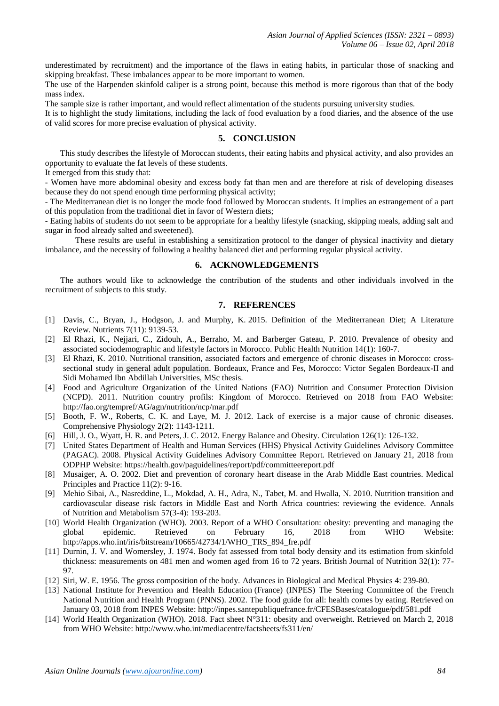underestimated by recruitment) and the importance of the flaws in eating habits, in particular those of snacking and skipping breakfast. These imbalances appear to be more important to women.

The use of the Harpenden skinfold caliper is a strong point, because this method is more rigorous than that of the body mass index.

The sample size is rather important, and would reflect alimentation of the students pursuing university studies.

It is to highlight the study limitations, including the lack of food evaluation by a food diaries, and the absence of the use of valid scores for more precise evaluation of physical activity.

## **5. CONCLUSION**

This study describes the lifestyle of Moroccan students, their eating habits and physical activity, and also provides an opportunity to evaluate the fat levels of these students.

It emerged from this study that:

- Women have more abdominal obesity and excess body fat than men and are therefore at risk of developing diseases because they do not spend enough time performing physical activity;

- The Mediterranean diet is no longer the mode food followed by Moroccan students. It implies an estrangement of a part of this population from the traditional diet in favor of Western diets;

- Eating habits of students do not seem to be appropriate for a healthy lifestyle (snacking, skipping meals, adding salt and sugar in food already salted and sweetened).

These results are useful in establishing a sensitization protocol to the danger of physical inactivity and dietary imbalance, and the necessity of following a healthy balanced diet and performing regular physical activity.

## **6. ACKNOWLEDGEMENTS**

The authors would like to acknowledge the contribution of the students and other individuals involved in the recruitment of subjects to this study.

#### **7. REFERENCES**

- [1] Davis, C., Bryan, J., Hodgson, J. and Murphy, K. 2015. Definition of the Mediterranean Diet; A Literature Review. Nutrients 7(11): 9139-53.
- [2] El Rhazi, K., Nejjari, C., Zidouh, A., Berraho, M. and Barberger Gateau, P. 2010. Prevalence of obesity and associated sociodemographic and lifestyle factors in Morocco. Public Health Nutrition 14(1): 160-7.
- [3] El Rhazi, K. 2010. Nutritional transition, associated factors and emergence of chronic diseases in Morocco: crosssectional study in general adult population. Bordeaux, France and Fes, Morocco: Victor Segalen Bordeaux-II and Sidi Mohamed Ibn Abdillah Universities, MSc thesis.
- [4] Food and Agriculture Organization of the United Nations (FAO) Nutrition and Consumer Protection Division (NCPD). 2011. Nutrition country profils: Kingdom of Morocco. Retrieved on 2018 from FAO Website: http://fao.org/tempref/AG/agn/nutrition/ncp/mar.pdf
- [5] Booth, F. W., Roberts, C. K. and Laye, M. J. 2012. Lack of exercise is a major cause of chronic diseases. Comprehensive Physiology 2(2): 1143-1211.
- [6] Hill, J. O., Wyatt, H. R. and Peters, J. C. 2012. Energy Balance and Obesity. Circulation [126\(1\): 126-132.](https://www.ncbi.nlm.nih.gov/entrez/eutils/elink.fcgi?dbfrom=pubmed&retmode=ref&cmd=prlinks&id=22753534)
- [7] United States Department of Health and Human Services (HHS) Physical Activity Guidelines Advisory Committee (PAGAC). 2008. Physical Activity Guidelines Advisory Committee Report. Retrieved on January 21, 2018 from ODPHP Website: https://health.gov/paguidelines/report/pdf/committeereport.pdf
- [8] Musaiger, A. O. 2002. Diet and prevention of coronary heart disease in the Arab Middle East countries. Medical Principles and Practice 11(2): 9-16.
- [9] Mehio Sibai, A., Nasreddine, L., Mokdad, A. H., Adra, N., Tabet, M. and Hwalla, N. 2010. Nutrition transition and cardiovascular disease risk factors in Middle East and North Africa countries: reviewing the evidence. Annals of Nutrition and Metabolism 57(3-4): 193-203.
- [10] World Health Organization (WHO). 2003. Report of a WHO Consultation: obesity: preventing and managing the global epidemic. Retrieved on February 16, 2018 from WHO Website: http://apps.who.int/iris/bitstream/10665/42734/1/WHO\_TRS\_894\_fre.pdf
- [11] Durnin, J. V. and Womersley, J. 1974. Body fat assessed from total body density and its estimation from skinfold thickness: measurements on 481 men and women aged from 16 to 72 years. British Journal of Nutrition 32(1): 77- 97.
- [12] Siri, W. E. 1956. The gross composition of the body. Advances in Biological and Medical Physics 4: 239-80.
- [13] National Institute for Prevention and Health Education (France) (INPES) The Steering Committee of the French National Nutrition and Health Program (PNNS). 2002. The food guide for all: health comes by eating. Retrieved on January 03, 2018 from INPES Website: http://inpes.santepubliquefrance.fr/CFESBases/catalogue/pdf/581.pdf
- [14] World Health Organization (WHO). 2018. Fact sheet N°311: obesity and overweight. Retrieved on March 2, 2018 from WHO Website: http://www.who.int/mediacentre/factsheets/fs311/en/